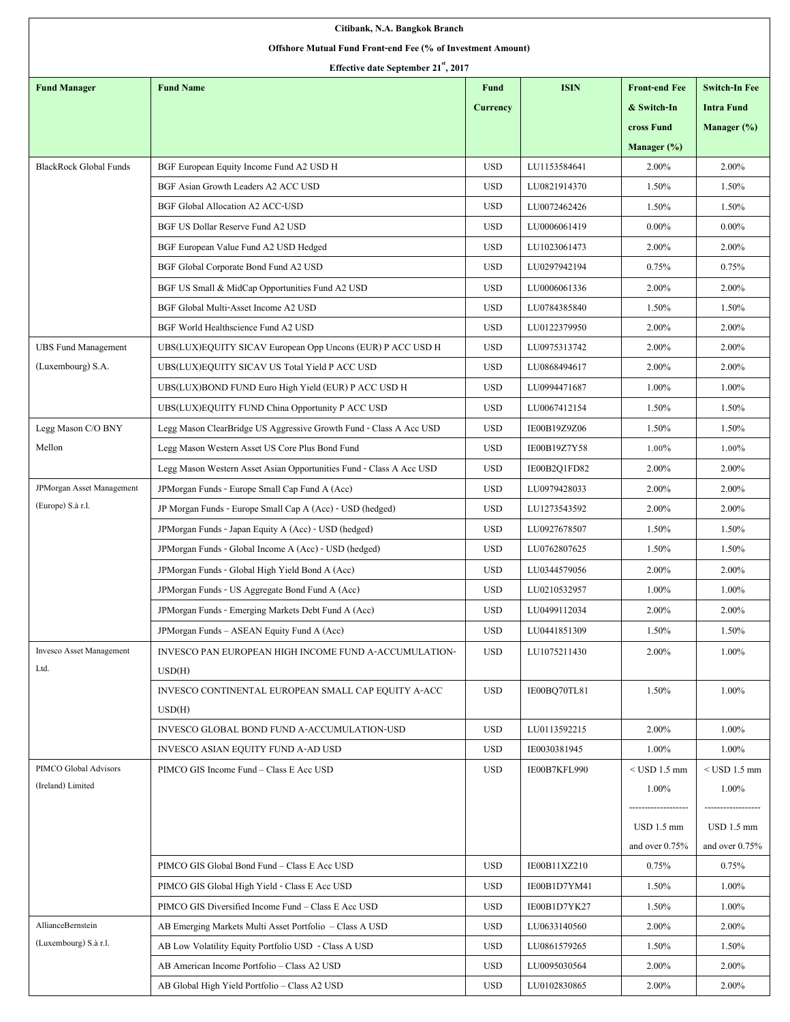| Citibank, N.A. Bangkok Branch                               |                                                                     |                 |              |                      |                      |  |  |  |  |
|-------------------------------------------------------------|---------------------------------------------------------------------|-----------------|--------------|----------------------|----------------------|--|--|--|--|
| Offshore Mutual Fund Front-end Fee (% of Investment Amount) |                                                                     |                 |              |                      |                      |  |  |  |  |
| Effective date September 21", 2017                          |                                                                     |                 |              |                      |                      |  |  |  |  |
| <b>Fund Manager</b>                                         | <b>Fund Name</b>                                                    | <b>Fund</b>     | <b>ISIN</b>  | <b>Front-end Fee</b> | <b>Switch-In Fee</b> |  |  |  |  |
|                                                             |                                                                     | <b>Currency</b> |              | & Switch-In          | <b>Intra Fund</b>    |  |  |  |  |
|                                                             |                                                                     |                 |              | cross Fund           | Manager (%)          |  |  |  |  |
|                                                             |                                                                     |                 |              | Manager $(\%)$       |                      |  |  |  |  |
| <b>BlackRock Global Funds</b>                               | BGF European Equity Income Fund A2 USD H                            | <b>USD</b>      | LU1153584641 | 2.00%                | 2.00%                |  |  |  |  |
|                                                             | BGF Asian Growth Leaders A2 ACC USD                                 | <b>USD</b>      | LU0821914370 | 1.50%                | 1.50%                |  |  |  |  |
|                                                             | <b>BGF Global Allocation A2 ACC-USD</b>                             | <b>USD</b>      | LU0072462426 | 1.50%                | 1.50%                |  |  |  |  |
|                                                             | BGF US Dollar Reserve Fund A2 USD                                   | <b>USD</b>      | LU0006061419 | $0.00\%$             | $0.00\%$             |  |  |  |  |
|                                                             | BGF European Value Fund A2 USD Hedged                               | <b>USD</b>      | LU1023061473 | 2.00%                | 2.00%                |  |  |  |  |
|                                                             | BGF Global Corporate Bond Fund A2 USD                               | <b>USD</b>      | LU0297942194 | 0.75%                | 0.75%                |  |  |  |  |
|                                                             | BGF US Small & MidCap Opportunities Fund A2 USD                     | <b>USD</b>      | LU0006061336 | 2.00%                | 2.00%                |  |  |  |  |
|                                                             | BGF Global Multi-Asset Income A2 USD                                | <b>USD</b>      | LU0784385840 | 1.50%                | 1.50%                |  |  |  |  |
|                                                             | BGF World Healthscience Fund A2 USD                                 | <b>USD</b>      | LU0122379950 | 2.00%                | 2.00%                |  |  |  |  |
| <b>UBS Fund Management</b>                                  | UBS(LUX)EQUITY SICAV European Opp Uncons (EUR) P ACC USD H          | <b>USD</b>      | LU0975313742 | 2.00%                | 2.00%                |  |  |  |  |
| (Luxembourg) S.A.                                           | UBS(LUX)EQUITY SICAV US Total Yield P ACC USD                       | <b>USD</b>      | LU0868494617 | 2.00%                | 2.00%                |  |  |  |  |
|                                                             | UBS(LUX)BOND FUND Euro High Yield (EUR) P ACC USD H                 | <b>USD</b>      | LU0994471687 | 1.00%                | 1.00%                |  |  |  |  |
|                                                             | UBS(LUX)EQUITY FUND China Opportunity P ACC USD                     | <b>USD</b>      | LU0067412154 | 1.50%                | 1.50%                |  |  |  |  |
| Legg Mason C/O BNY                                          | Legg Mason ClearBridge US Aggressive Growth Fund - Class A Acc USD  | <b>USD</b>      | IE00B19Z9Z06 | 1.50%                | 1.50%                |  |  |  |  |
| Mellon                                                      | Legg Mason Western Asset US Core Plus Bond Fund                     | <b>USD</b>      | IE00B19Z7Y58 | 1.00%                | 1.00%                |  |  |  |  |
|                                                             | Legg Mason Western Asset Asian Opportunities Fund - Class A Acc USD | <b>USD</b>      | IE00B2Q1FD82 | 2.00%                | 2.00%                |  |  |  |  |
| <b>JPMorgan Asset Management</b>                            | JPMorgan Funds - Europe Small Cap Fund A (Acc)                      | <b>USD</b>      | LU0979428033 | 2.00%                | 2.00%                |  |  |  |  |
| (Europe) S.à r.l.                                           | JP Morgan Funds - Europe Small Cap A (Acc) - USD (hedged)           | <b>USD</b>      | LU1273543592 | 2.00%                | 2.00%                |  |  |  |  |
|                                                             | JPMorgan Funds - Japan Equity A (Acc) - USD (hedged)                | <b>USD</b>      | LU0927678507 | 1.50%                | 1.50%                |  |  |  |  |
|                                                             | JPMorgan Funds - Global Income A (Acc) - USD (hedged)               | <b>USD</b>      | LU0762807625 | 1.50%                | 1.50%                |  |  |  |  |
|                                                             | JPMorgan Funds - Global High Yield Bond A (Acc)                     | <b>USD</b>      | LU0344579056 | 2.00%                | 2.00%                |  |  |  |  |
|                                                             | JPM organ Funds - US Aggregate Bond Fund A (Acc)                    | <b>USD</b>      | LU0210532957 | 1.00%                | 1.00%                |  |  |  |  |
|                                                             | JPMorgan Funds - Emerging Markets Debt Fund A (Acc)                 | <b>USD</b>      | LU0499112034 | 2.00%                | 2.00%                |  |  |  |  |
|                                                             | JPM organ Funds - ASEAN Equity Fund A (Acc)                         | <b>USD</b>      | LU0441851309 | 1.50%                | 1.50%                |  |  |  |  |
| <b>Invesco Asset Management</b>                             | INVESCO PAN EUROPEAN HIGH INCOME FUND A-ACCUMULATION-               | <b>USD</b>      | LU1075211430 | 2.00%                | 1.00%                |  |  |  |  |
| Ltd.                                                        | USD(H)                                                              |                 |              |                      |                      |  |  |  |  |
|                                                             | INVESCO CONTINENTAL EUROPEAN SMALL CAP EQUITY A-ACC<br>USD(H)       | <b>USD</b>      | IE00BQ70TL81 | 1.50%                | 1.00%                |  |  |  |  |
|                                                             | INVESCO GLOBAL BOND FUND A-ACCUMULATION-USD                         | <b>USD</b>      | LU0113592215 | 2.00%                | 1.00%                |  |  |  |  |
|                                                             | INVESCO ASIAN EQUITY FUND A-AD USD                                  | <b>USD</b>      | IE0030381945 | 1.00%                | 1.00%                |  |  |  |  |
| PIMCO Global Advisors                                       | PIMCO GIS Income Fund - Class E Acc USD                             | <b>USD</b>      | IE00B7KFL990 | $<$ USD 1.5 mm       | $<$ USD 1.5 mm       |  |  |  |  |
| (Ireland) Limited                                           |                                                                     |                 |              | 1.00%                | 1.00%                |  |  |  |  |
|                                                             |                                                                     |                 |              | ------               |                      |  |  |  |  |
|                                                             |                                                                     |                 |              | USD 1.5 mm           | USD 1.5 mm           |  |  |  |  |
|                                                             |                                                                     |                 |              | and over $0.75%$     | and over $0.75\%$    |  |  |  |  |
|                                                             | PIMCO GIS Global Bond Fund - Class E Acc USD                        | <b>USD</b>      | IE00B11XZ210 | 0.75%                | 0.75%                |  |  |  |  |
|                                                             | PIMCO GIS Global High Yield - Class E Acc USD                       | <b>USD</b>      | IE00B1D7YM41 | 1.50%                | 1.00%                |  |  |  |  |
|                                                             | PIMCO GIS Diversified Income Fund – Class E Acc USD                 | <b>USD</b>      | IE00B1D7YK27 | 1.50%                | 1.00%                |  |  |  |  |
| AllianceBernstein                                           | AB Emerging Markets Multi Asset Portfolio - Class A USD             | <b>USD</b>      | LU0633140560 | 2.00%                | 2.00%                |  |  |  |  |
| (Luxembourg) S.à r.l.                                       | AB Low Volatility Equity Portfolio USD - Class A USD                | <b>USD</b>      | LU0861579265 | 1.50%                | 1.50%                |  |  |  |  |
|                                                             | AB American Income Portfolio - Class A2 USD                         | <b>USD</b>      | LU0095030564 | 2.00%                | 2.00%                |  |  |  |  |
|                                                             | AB Global High Yield Portfolio - Class A2 USD                       | <b>USD</b>      | LU0102830865 | 2.00%                | 2.00%                |  |  |  |  |